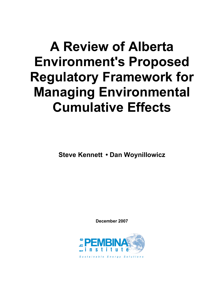## **A Review of Alberta Environment's Proposed Regulatory Framework for Managing Environmental Cumulative Effects**

**Steve Kennett • Dan Woynillowicz**

**December 2007**

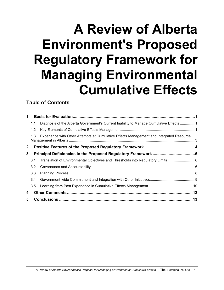# **A Review of Alberta Environment's Proposed Regulatory Framework for Managing Environmental Cumulative Effects**

#### **Table of Contents**

| 1. |     |                                                                                         |  |  |
|----|-----|-----------------------------------------------------------------------------------------|--|--|
|    | 1.1 | Diagnosis of the Alberta Government's Current Inability to Manage Cumulative Effects  1 |  |  |
|    | 1.2 |                                                                                         |  |  |
|    | 1.3 | Experience with Other Attempts at Cumulative Effects Management and Integrated Resource |  |  |
| 2. |     |                                                                                         |  |  |
| 3. |     |                                                                                         |  |  |
|    | 3.1 |                                                                                         |  |  |
|    | 3.2 |                                                                                         |  |  |
|    | 3.3 |                                                                                         |  |  |
|    | 3.4 |                                                                                         |  |  |
|    | 3.5 |                                                                                         |  |  |
| 4. |     |                                                                                         |  |  |
| 5. |     |                                                                                         |  |  |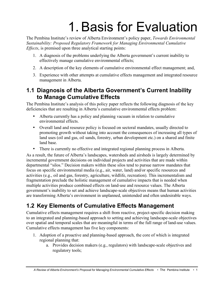# 1. Basis for Evaluation

The Pembina Institute's review of Alberta Environment's policy paper, *Towards Environmental Sustainability: Proposed Regulatory Framework for Managing Environmental Cumulative Effects*, is premised upon three analytical starting points:

- 1. A diagnosis of the problems underlying the Alberta government's current inability to effectively manage cumulative environmental effects;
- 2. A description of the key elements of cumulative environmental effect management; and,
- 3. Experience with other attempts at cumulative effects management and integrated resource management in Alberta.

### **1.1 Diagnosis of the Alberta Government's Current Inability to Manage Cumulative Effects**

The Pembina Institute's analysis of this policy paper reflects the following diagnosis of the key deficiencies that are resulting in Alberta's cumulative environmental effects problem:

- Alberta currently has a policy and planning vacuum in relation to cumulative environmental effects.
- Overall land and resource policy is focused on sectoral mandates, usually directed to promoting growth without taking into account the consequences of increasing all types of land uses (oil and gas, oil sands, forestry, urban development etc.) on a shared and finite land base.
- There is currently no effective and integrated regional planning process in Alberta.

As a result, the future of Alberta's landscapes, watersheds and airsheds is largely determined by incremental government decisions on individual projects and activities that are made within departmental "silos." Decision makers within these silos tend to pursue narrow mandates that focus on specific environmental media (e.g., air, water, land) and/or specific resources and activities (e.g., oil and gas, forestry, agriculture, wildlife, recreation). This incrementalism and fragmentation preclude the holistic management of cumulative impacts that is needed when multiple activities produce combined effects on land-use and resource values. The Alberta government's inability to set and achieve landscape-scale objectives means that human activities are transforming Alberta's environment in unplanned, unintended and often undesirable ways.

### **1.2 Key Elements of Cumulative Effects Management**

Cumulative effects management requires a shift from reactive, project-specific decision making to an integrated and planning-based approach to setting and achieving landscape-scale objectives over spatial and temporal scales that are meaningful in terms of the full range of land-use values. Cumulative effects management has five key components:

- 1. Adoption of a proactive and planning-based approach, the core of which is integrated regional planning that:
	- a. Provides decision makers (e.g., regulators) with landscape-scale objectives and regulatory tools;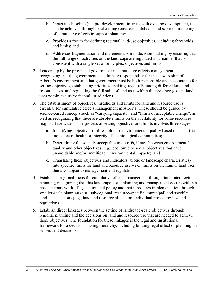- b. Generates baseline (i.e. pre-development; in areas with existing development, this can be achieved through backcasting) environmental data and scenario modeling of cumulative effects to support planning;
- c. Provides a forum for defining regional land-use objectives, including thresholds and limits; and
- d. Addresses fragmentation and incrementalism in decision making by ensuring that the full range of activities on the landscape are regulated in a manner that is consistent with a single set of principles, objectives and limits.
- 2. Leadership by the provincial government in cumulative effects management recognizing that the government has ultimate responsibility for the stewardship of Alberta's environment and that government must be both responsible and accountable for setting objectives, establishing priorities, making trade-offs among different land and resource uses, and regulating the full suite of land uses within the province (except land uses within exclusive federal jurisdiction).
- 3. The establishment of objectives, thresholds and limits for land and resource use is essential for cumulative effects management in Alberta. These should be guided by science-based concepts such as "carrying capacity" and "limits of acceptable change", as well as recognizing that there are absolute limits on the availability for some resources (e.g., surface water). The process of setting objectives and limits involves three stages:
	- a. Identifying objectives or thresholds for environmental quality based on scientific indicators of health or integrity of the biological communities;
	- b. Determining the socially acceptable trade-offs, if any, between environmental quality and other objectives (e.g., economic or social objectives that have unavoidable and/or immitigable environmental impacts); and
	- c. Translating these objectives and indicators (biotic or landscape characteristics) into specific limits for land and resource use  $-$  i.e., limits on the human land uses that are subject to management and regulation.
- 4. Establish a regional focus for cumulative effects management through integrated regional planning, recognizing that this landscape-scale planning and management occurs within a broader framework of legislation and policy and that it requires implementation through smaller-scale planning (e.g., sub-regional, resource-specific, municipal) and specific land-use decisions (e.g., land and resource allocation, individual project review and regulation).
- 5. Establish direct linkages between the setting of landscape-scale objectives through regional planning and the decisions on land and resource use that are needed to achieve those objectives. The foundation for these linkages is the legal and institutional framework for a decision-making hierarchy, including binding legal effect of planning on subsequent decisions.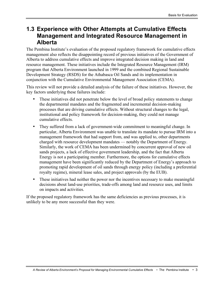#### **1.3 Experience with Other Attempts at Cumulative Effects Management and Integrated Resource Management in Alberta**

The Pembina Institute's evaluation of the proposed regulatory framework for cumulative effects management also reflects the disappointing record of previous initiatives of the Government of Alberta to address cumulative effects and improve integrated decision making in land and resource management. These initiatives include the Integrated Resource Management (IRM) program that Alberta Environment launched in 1999 and the combined Regional Sustainable Development Strategy (RSDS) for the Athabasca Oil Sands and its implementation in conjunction with the Cumulative Environmental Management Association (CEMA).

This review will not provide a detailed analysis of the failure of these initiatives. However, the key factors underlying these failures include:

- These initiatives did not penetrate below the level of broad policy statements to change the departmental mandates and the fragmented and incremental decision-making processes that are driving cumulative effects. Without structural changes to the legal, institutional and policy framework for decision-making, they could not manage cumulative effects.
- They suffered from a lack of government-wide commitment to meaningful change. In particular, Alberta Environment was unable to translate its mandate to pursue IRM into a management framework that had support from, and was applied to, other departments charged with resource development mandates — notably the Department of Energy. Similarly, the work of CEMA has been undermined by concurrent approval of new oil sands projects, a lack of effective government leadership, and the fact that Alberta Energy is not a participating member. Furthermore, the options for cumulative effects management have been significantly reduced by the Department of Energy's approach to promoting rapid development of oil sands through energy policy (including a preferential royalty regime), mineral lease sales, and project approvals (by the EUB).
- These initiatives had neither the power nor the incentives necessary to make meaningful decisions about land-use priorities, trade-offs among land and resource uses, and limits on impacts and activities.

If the proposed regulatory framework has the same deficiencies as previous processes, it is unlikely to be any more successful than they were.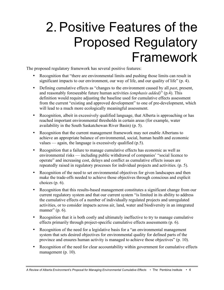## 2. Positive Features of the Proposed Regulatory Framework

The proposed regulatory framework has several positive features:

- Recognition that "there are environmental limits and pushing those limits can result in significant impacts to our environment, our way of life, and our quality of life" (p. 4).
- Defining cumulative effects as "changes to the environment caused by all *past*, present, and reasonably foreseeable future human activities *(emphasis added)*" (p.4). This definition would require adjusting the baseline used for cumulative effects assessment from the current "existing and approved development" to one of pre-development, which will lead to a much more ecologically meaningful assessment.
- Recognition, albeit in excessively qualified language, that Alberta is approaching or has reached important environmental thresholds in certain areas (for example, water availability in the South Saskatchewan River Basin) (p. 5).
- Recognition that the current management framework may not enable Albertans to achieve an appropriate balance of environmental, social, human health and economic values — again, the language is excessively qualified (p.5).
- Recognition that a failure to manage cumulative effects has economic as well as environmental risks — including public withdrawal of companies' "social licence to operate" and increasing cost, delays and conflict as cumulative effects issues are repeatedly raised in regulatory processes for individual projects and activities. (p. 5).
- Recognition of the need to set environmental objectives for given landscapes and then make the trade-offs needed to achieve those objectives through conscious and explicit choices (p. 6).
- Recognition that this results-based management constitutes a significant change from our current regulatory system and that our current system "is limited in its ability to address the cumulative effects of a number of individually regulated projects and unregulated activities, or to consider impacts across air, land, water and biodiversity in an integrated manner" (p. 6).
- Recognition that it is both costly and ultimately ineffective to try to manage cumulative effects primarily through project-specific cumulative effects assessments (p. 6).
- Recognition of the need for a legislative basis for a "an environmental management" system that sets desired objectives for environmental quality for defined parts of the province and ensures human activity is managed to achieve those objectives" (p. 10).
- Recognition of the need for clear accountability within government for cumulative effects management (p. 10).

*A Review of Alberta Environment's Proposal for Managing Environmental Cumulative Effects* • The Pembina Institute • 4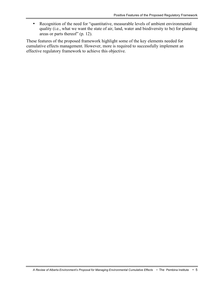• Recognition of the need for "quantitative, measurable levels of ambient environmental quality (i.e., what we want the state of air, land, water and biodiversity to be) for planning areas or parts thereof" (p. 12).

These features of the proposed framework highlight some of the key elements needed for cumulative effects management. However, more is required to successfully implement an effective regulatory framework to achieve this objective.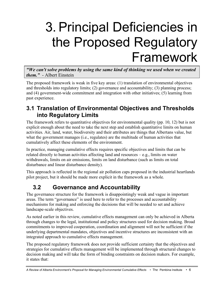# 3. Principal Deficiencies in the Proposed Regulatory Framework

*"We can't solve problems by using the same kind of thinking we used when we created them."* - Albert Einstein

The proposed framework is weak in five key areas: (1) translation of environmental objectives and thresholds into regulatory limits; (2) governance and accountability; (3) planning process; and (4) government-wide commitment and integration with other initiatives; (5) learning from past experience.

### **3.1 Translation of Environmental Objectives and Thresholds into Regulatory Limits**

The framework refers to quantitative objectives for environmental quality (pp. 10, 12) but is not explicit enough about the need to take the next step and establish quantitative limits on human activities. Air, land, water, biodiversity and their attributes are things that Albertans value, but what the government manages (i.e., regulates) are the multitude of human activities that cumulatively affect these elements of the environment.

In practice, managing cumulative effects requires specific objectives and limits that can be related directly to human activities affecting land and resources – e.g., limits on water withdrawals, limits on air emissions, limits on land disturbance (such as limits on total disturbance and linear disturbance density).

This approach is reflected in the regional air pollution caps proposed in the industrial heartlands pilot project, but it should be made more explicit in the framework as a whole.

### **3.2 Governance and Accountability**

The governance structure for the framework is disappointingly weak and vague in important areas. The term "governance" is used here to refer to the processes and accountability mechanisms for making and enforcing the decisions that will be needed to set and achieve landscape-scale objectives.

As noted earlier in this review, cumulative effects management can only be achieved in Alberta through changes to the legal, institutional and policy structures used for decision making. Broad commitments to improved cooperation, coordination and alignment will not be sufficient if the underlying departmental mandates, objectives and incentive structures are inconsistent with an integrated approach to cumulative effects management.

The proposed regulatory framework does not provide sufficient certainty that the objectives and strategies for cumulative effects management will be implemented through structural changes to decision making and will take the form of binding constraints on decision makers. For example, it states that:

*A Review of Alberta Environment's Proposal for Managing Environmental Cumulative Effects* • The Pembina Institute • 6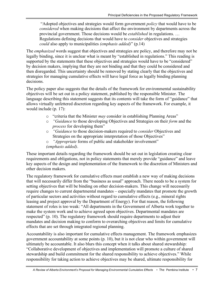"Adopted objectives and strategies would form government *policy* that would have to be *considered* when making decisions that affect the environment by departments across the provincial government. Those decisions would be *established* in regulations. … Regulations defining decisions that would have to *consider* objectives and strategies *could* also apply to municipalities *(emphasis added)*" (p.14)

The *emphasized* words suggest that objectives and strategies are policy, and therefore may not be legally binding, since it is unclear what is meant by "established in regulations." This reading is supported by the statements that these objectives and strategies would have to be "considered" by decision makers, implying that they are not binding and that they could be considered and then disregarded. This uncertainty should be removed by stating clearly that the objectives and strategies for managing cumulative effects will have legal force as legally binding planning decisions.

The policy paper also suggests that the details of the framework for environmental sustainability objectives will be set out in a policy statement, published by the responsible Minister. The language describing this statement suggests that its contents will take the form of "guidance" that allows virtually unfettered discretion regarding key aspects of the framework. For example, it would include (p. 17):

- o "criteria that the Minister *may* consider in establishing Planning Areas"
- o *"Guidance* to those developing Objectives and Strategies on their *form* and the *process* for developing them"
- o *"Guidance* to those decision-makers required to *consider* Objectives and Strategies on the appropriate interpretation of those Objectives"
- o *"Appropriate* forms of public and stakeholder involvement" *(emphasis added)*.

These important details regarding the framework should be set out in legislation creating clear requirements and obligations, not in policy statements that merely provide "guidance" and leave key aspects of the design and implementation of the framework to the discretion of Ministers and other decision makers.

The regulatory framework for cumulative effects must establish a new way of making decisions that will necessarily differ from the "business as usual" approach. There needs to be a system for setting objectives that will be binding on other decision-makers. This change will necessarily require changes to current departmental mandates – especially mandates that promote the growth of particular sectors and activities without regard to cumulative effects (e.g., mineral rights leasing and project approval by the Department of Energy). For that reason, the following statement of roles is too weak: "All departments in the Government of Alberta work together to make the system work and to achieve agreed upon objectives. Departmental mandates are respected" (p. 10). The regulatory framework should require departments to adjust their mandates and decision making to conform to overarching objectives and limits for cumulative effects that are set through integrated regional planning.

Accountability is also important for cumulative effects management. The framework emphasizes government accountability at some points (p. 10), but it is not clear who within government will ultimately be accountable. It also blurs this concept when it talks about shared stewardship: "Collaborative development of objectives and implementation will promote a culture of shared stewardship and build commitment for the shared responsibility to achieve objectives." While responsibility for taking action to achieve objectives may be shared, ultimate responsibility for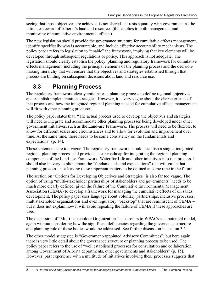seeing that those objectives are achieved is not shared – it rests squarely with government as the ultimate steward of Alberta's land and resources (this applies to both management and monitoring of cumulative environmental effects).

The new legislation should provide the governance structure for cumulative effects management, identify specifically who is accountable, and include effective accountability mechanisms. The policy paper refers to legislation to "enable" the framework, implying that key elements will be developed through subsequent regulations or policy. This approach is not adequate. The legislation should clearly establish the policy, planning and regulatory framework for cumulative effects management, including the principal elements of the planning process and the decisionmaking hierarchy that will ensure that the objectives and strategies established through that process are binding on subsequent decisions about land and resource use.

### **3.3 Planning Process**

The regulatory framework clearly anticipates a planning process to define regional objectives and establish implementation strategies. However, it is very vague about the characteristics of that process and how the integrated regional planning needed for cumulative effects management will fit with other planning processes.

The policy paper states that: "The actual process used to develop the objectives and strategies will need to integrate and accommodate other planning processes being developed under other government initiatives, such as the Land-use Framework. The process will need to be flexible, to allow for different scales and circumstances and to allow for evolution and improvement over time. At the same time, there needs to be some consistency on the fundamentals and expectations" (p. 14).

These statements are too vague. The regulatory framework should establish a single, integrated regional planning process and provide a clear roadmap for integrating the regional planning components of the Land-use Framework, Water for Life and other initiatives into that process. It should also be very explicit about the "fundamentals and expectations" that will guide that planning process – not leaving these important matters to be defined at some time in the future.

The section on "Options for Developing Objectives and Strategies" is also far too vague. The option of using "multi-stakeholder partnerships of stakeholders and governments" needs to be much more clearly defined, given the failure of the Cumulative Environmental Management Association (CEMA) to develop a framework for managing the cumulative effects of oil sands development. The policy paper uses language about voluntary partnerships, inclusive processes, multistakeholder organizations and even regulatory "backstop" that are reminiscent of CEMA – but it does not explain how it will avoid repeating the failure of CEMA if these approaches are used.

The discussion of "Multi-stakeholder Organizations" also refers to WPACs as a potential model, again without considering how the significant deficiencies regarding the governance structure and planning role of these bodies would be addressed. See further discussion in section 3.5.

The other model suggested is "Government-appointed Advisory Committees", but here again there is very little detail about the governance structure or planning process to be used. The policy paper refers to the use of "well established processes for consultation and collaboration among Government of Alberta departments, other governments and stakeholders" (p. 15). However, past experience with a multitude of initiatives involving these processes suggests that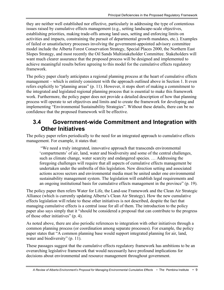they are neither well established nor effective, particularly in addressing the type of contentious issues raised by cumulative effects management (e.g., setting landscape-scale objectives, establishing priorities, making trade-offs among land uses, setting and enforcing limits on activities and impacts, constraining the pursuit of departmental growth mandates, etc.). Examples of failed or unsatisfactory processes involving the government-appointed advisory committee model include the Alberta Forest Conservation Strategy, Special Places 2000, the Northern East Slopes Strategy, and most recently the Oil Sands Multistakeholder Committee. Stakeholders will want much clearer assurance that the proposed process will be designed and implemented to achieve meaningful results before agreeing to this model for the cumulative effects regulatory framework.

The policy paper clearly anticipates a regional planning process at the heart of cumulative effects management – which is entirely consistent with the approach outlined above in Section 1. It even refers explicitly to "planning areas" (p. 11). However, it stops short of making a commitment to the integrated and legislated regional planning process that is essential to make this framework work. Furthermore, the policy paper does not provide a detailed description of how that planning process will operate to set objectives and limits and to create the framework for developing and implementing "Environmental Sustainability Strategies". Without these details, there can be no confidence that the proposed framework will be effective.

#### **3.4 Government-wide Commitment and Integration with Other Initiatives**

The policy paper refers periodically to the need for an integrated approach to cumulative effects management. For example, it states that:

"We need a truly integrated, innovative approach that transcends environmental 'compartments' of air, land, water and biodiversity and some of the central challenges, such as climate change, water scarcity and endangered species. … Addressing the foregoing challenges will require that all aspects of cumulative effects management be undertaken under the umbrella of this legislation. New direction setting and associated actions across sectors and environmental media must be united under one environmental sustainability management system. The legislation will establish legal requirements and an ongoing institutional basis for cumulative effects management in the province" (p. 19).

The policy paper then refers Water for Life, the Land-use Framework and the Clean Air Strategic Alliance (which is currently updating Alberta's Clean Air Strategy). How the new cumulative effects legislation will relate to these other initiatives is not described, despite the fact that managing cumulative effects is a central issue for all of them. The introduction to the policy paper also says simply that it "should be considered a proposal that can contribute to the progress of those other initiatives" (p. 4).

As noted above, there are also periodic references to integration with other initiatives through a common planning process (or coordination among separate processes). For example, the policy paper states that "A common planning base would support integrated planning for air, land, water and biodiversity" (p. 11).

These passages suggest that the cumulative effects regulatory framework has ambitions to be an overarching legislative framework that would necessarily have profound implications for decisions about environmental and resource management throughout government.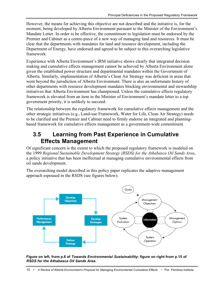However, the means for achieving this objective are not described and the initiative is, for the moment, being developed by Alberta Environment pursuant to the Minister of the Environment's Mandate Letter. In order to be effective, the commitment to legislation must be endorsed by the Premier and Cabinet as a centre-piece of a new way of managing land and resources. It must be clear that the departments with mandates for land and resource development, including the Department of Energy, have endorsed and agreed to be subject to this overarching legislative framework.

Experience with Alberta Environment's IRM initiative shows clearly that integrated decision making and cumulative effects management cannot be achieved by Alberta Environment alone given the established power structure and departmental mandates within the Government of Alberta. Similarly, implementation of Alberta's Clean Air Strategy was deficient in areas that went beyond the jurisdiction of Alberta Environment. There is also an unfortunate history of other departments with resource development mandates blocking environmental and stewardship initiatives that Alberta Environment has championed. Unless the cumulative effects regulatory framework is elevated from an item in the Minister of Environment's mandate letter to a top government priority, it is unlikely to succeed.

The relationship between the regulatory framework for cumulative effects management and the other strategic initiatives (e.g., Land-use Framework, Water for Life, Clean Air Strategy) needs to be clarified and the Premier and Cabinet need to firmly endorse an integrated and planningbased framework for cumulative effects management as a government-wide commitment.

### **3.5 Learning from Past Experience in Cumulative Effects Management**

Of significant concern is the extent to which the proposed regulatory framework is modeled on the 1999 *Regional Sustainable Development Strategy (RSDS) for the Athabasca Oil Sands Area*, a policy initiative that has been ineffectual at managing cumulative environmental effects from oil sands development.

The overarching model described in this policy paper replicates the adaptive management approach espoused in the RSDS (see figures below).



#### **Figure on left, from p.8 of** *Towards Environmental Sustainability***; figure on right from p.15 of** *RSDS for the Athabasca Oil Sands Area***.**

10 • *A Review of Alberta Environment's Proposal for Managing Environmental Cumulative Effects* • The Pembina Institute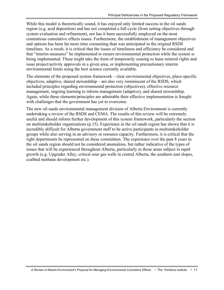While this model is theoretically sound, it has enjoyed only limited success in the oil sands region (e.g. acid deposition) and has not completed a full cycle (from setting objectives through system evaluation and refinement), nor has it been successfully employed on the most contentious cumulative effects issues. Furthermore, the establishment of management objectives and options has been far more time consuming than was anticipated in the original RSDS timelines. As a result, it is critical that the issues of timeliness and efficiency be considered and that "interim measures" be implemented to ensure environmental protection while the system is being implemented. These might take the form of temporarily ceasing to lease mineral rights and issue project/activity approvals in a given area, or implementing precautionary interim environmental limits using the best science currently available.

The elements of the proposed system framework – clear environmental objectives, place-specific objectives, adaptive, shared stewardship – are also very reminiscent of the RSDS, which included principles regarding environmental protection (objectives), effective resource management, ongoing learning to inform management (adaptive), and shared stewardship. Again, while these elements/principles are admirable their effective implementation is fraught with challenges that the government has yet to overcome.

The new oil sands environmental management division of Alberta Environment is currently undertaking a review of the RSDS and CEMA. The results of this review will be extremely useful and should inform further development of this system framework, particularly the section on multistakeholder organizations (p.15). Experience in the oil sands region has shown that it is incredibly difficult for Alberta government staff to be active participants in multistakeholder groups while also serving in an advisory or resource capacity. Furthermore, it is critical that the right departments be represented on these committees. The experience over the past 8 years in the oil sands region should not be considered anomalous, but rather indicative of the types of issues that will be experienced throughout Alberta, particularly in those areas subject to rapid growth (e.g. Upgrader Alley, critical sour gas wells in central Alberta, the southern east slopes, coalbed methane development etc.).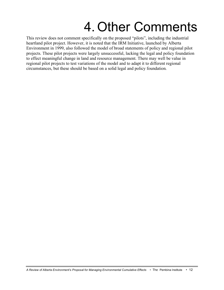## 4. Other Comments

This review does not comment specifically on the proposed "pilots", including the industrial heartland pilot project. However, it is noted that the IRM Initiative, launched by Alberta Environment in 1999, also followed the model of broad statements of policy and regional pilot projects. These pilot projects were largely unsuccessful, lacking the legal and policy foundation to effect meaningful change in land and resource management. There may well be value in regional pilot projects to test variations of the model and to adapt it to different regional circumstances, but these should be based on a solid legal and policy foundation.